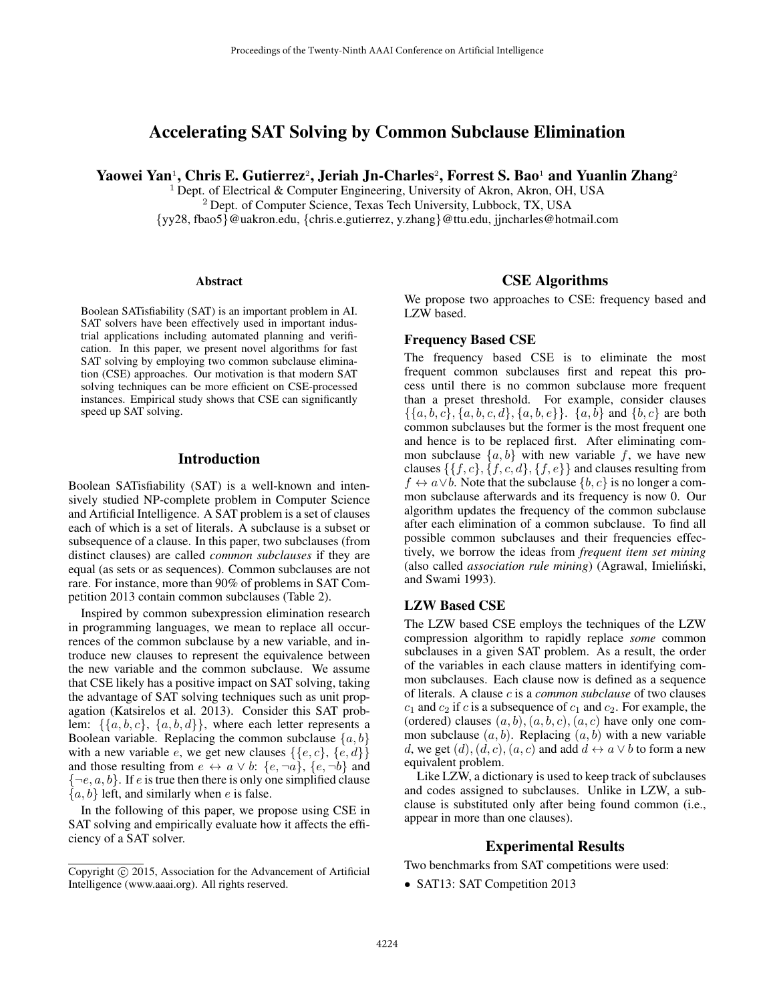# Accelerating SAT Solving by Common Subclause Elimination

Yaowei Yan<sup>1</sup>, Chris E. Gutierrez<sup>2</sup>, Jeriah Jn-Charles<sup>2</sup>, Forrest S. Bao<sup>1</sup> and Yuanlin Zhang<sup>2</sup>

<sup>1</sup> Dept. of Electrical & Computer Engineering, University of Akron, Akron, OH, USA  $2$  Dept. of Computer Science, Texas Tech University, Lubbock, TX, USA {yy28, fbao5}@uakron.edu, {chris.e.gutierrez, y.zhang}@ttu.edu, jjncharles@hotmail.com

#### Abstract

Boolean SATisfiability (SAT) is an important problem in AI. SAT solvers have been effectively used in important industrial applications including automated planning and verification. In this paper, we present novel algorithms for fast SAT solving by employing two common subclause elimination (CSE) approaches. Our motivation is that modern SAT solving techniques can be more efficient on CSE-processed instances. Empirical study shows that CSE can significantly speed up SAT solving.

## Introduction

Boolean SATisfiability (SAT) is a well-known and intensively studied NP-complete problem in Computer Science and Artificial Intelligence. A SAT problem is a set of clauses each of which is a set of literals. A subclause is a subset or subsequence of a clause. In this paper, two subclauses (from distinct clauses) are called *common subclauses* if they are equal (as sets or as sequences). Common subclauses are not rare. For instance, more than 90% of problems in SAT Competition 2013 contain common subclauses (Table 2).

Inspired by common subexpression elimination research in programming languages, we mean to replace all occurrences of the common subclause by a new variable, and introduce new clauses to represent the equivalence between the new variable and the common subclause. We assume that CSE likely has a positive impact on SAT solving, taking the advantage of SAT solving techniques such as unit propagation (Katsirelos et al. 2013). Consider this SAT problem:  $\{\{a, b, c\}, \{a, b, d\}\}\$ , where each letter represents a Boolean variable. Replacing the common subclause  $\{a, b\}$ with a new variable e, we get new clauses  $\{\{e, c\}, \{e, d\}\}\$ and those resulting from  $e \leftrightarrow a \lor b$ :  $\{e, \neg a\}$ ,  $\{e, \neg b\}$  and  $\{\neg e, a, b\}$ . If e is true then there is only one simplified clause  $\{a, b\}$  left, and similarly when e is false.

In the following of this paper, we propose using CSE in SAT solving and empirically evaluate how it affects the efficiency of a SAT solver.

### CSE Algorithms

We propose two approaches to CSE: frequency based and LZW based.

#### Frequency Based CSE

The frequency based CSE is to eliminate the most frequent common subclauses first and repeat this process until there is no common subclause more frequent than a preset threshold. For example, consider clauses  $\{\{a, b, c\}, \{a, b, c, d\}, \{a, b, e\}\}\$ .  $\{a, b\}$  and  $\{b, c\}$  are both common subclauses but the former is the most frequent one and hence is to be replaced first. After eliminating common subclause  $\{a, b\}$  with new variable f, we have new clauses  $\{\{f, c\}, \{f, c, d\}, \{f, e\}\}\$ and clauses resulting from  $f \leftrightarrow a \lor b$ . Note that the subclause  $\{b, c\}$  is no longer a common subclause afterwards and its frequency is now 0. Our algorithm updates the frequency of the common subclause after each elimination of a common subclause. To find all possible common subclauses and their frequencies effectively, we borrow the ideas from *frequent item set mining* (also called *association rule mining*) (Agrawal, Imieliński, and Swami 1993).

## LZW Based CSE

The LZW based CSE employs the techniques of the LZW compression algorithm to rapidly replace *some* common subclauses in a given SAT problem. As a result, the order of the variables in each clause matters in identifying common subclauses. Each clause now is defined as a sequence of literals. A clause c is a *common subclause* of two clauses  $c_1$  and  $c_2$  if c is a subsequence of  $c_1$  and  $c_2$ . For example, the (ordered) clauses  $(a, b), (a, b, c), (a, c)$  have only one common subclause  $(a, b)$ . Replacing  $(a, b)$  with a new variable d, we get  $(d)$ ,  $(d, c)$ ,  $(a, c)$  and add  $d \leftrightarrow a \lor b$  to form a new equivalent problem.

Like LZW, a dictionary is used to keep track of subclauses and codes assigned to subclauses. Unlike in LZW, a subclause is substituted only after being found common (i.e., appear in more than one clauses).

#### Experimental Results

Two benchmarks from SAT competitions were used:

• SAT13: SAT Competition 2013

Copyright (c) 2015, Association for the Advancement of Artificial Intelligence (www.aaai.org). All rights reserved.